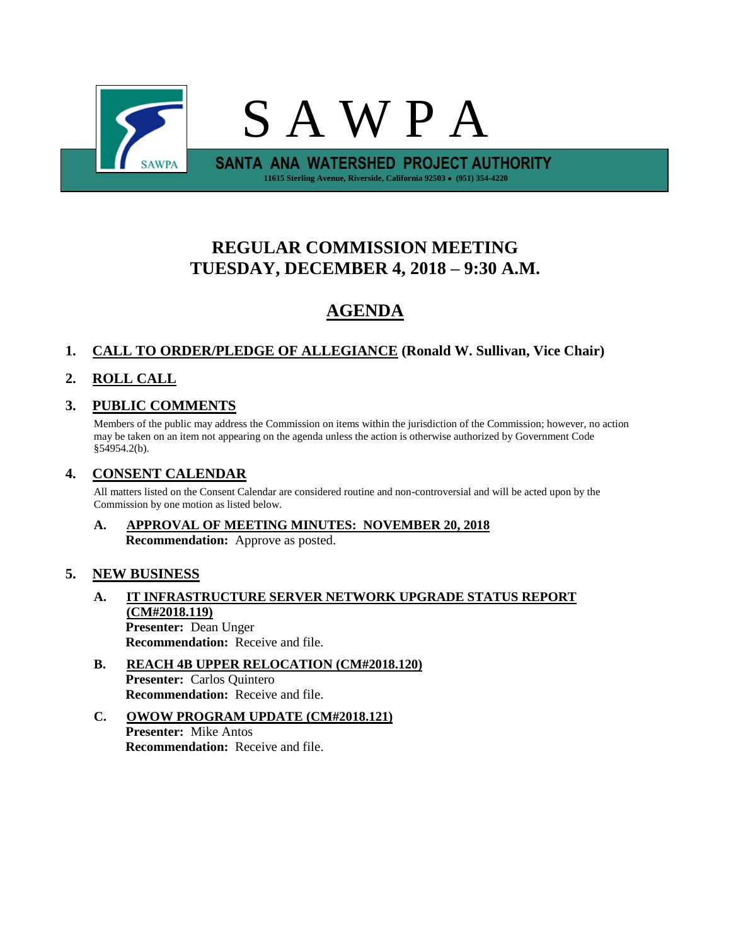

# **REGULAR COMMISSION MEETING TUESDAY, DECEMBER 4, 2018 – 9:30 A.M.**

# **AGENDA**

## **1. CALL TO ORDER/PLEDGE OF ALLEGIANCE (Ronald W. Sullivan, Vice Chair)**

## **2. ROLL CALL**

## **3. PUBLIC COMMENTS**

Members of the public may address the Commission on items within the jurisdiction of the Commission; however, no action may be taken on an item not appearing on the agenda unless the action is otherwise authorized by Government Code §54954.2(b).

## **4. CONSENT CALENDAR**

All matters listed on the Consent Calendar are considered routine and non-controversial and will be acted upon by the Commission by one motion as listed below.

## **A. APPROVAL OF MEETING MINUTES: NOVEMBER 20, 2018 Recommendation:** Approve as posted.

## **5. NEW BUSINESS**

- **A. IT INFRASTRUCTURE SERVER NETWORK UPGRADE STATUS REPORT (CM#2018.119) Presenter:** Dean Unger **Recommendation:** Receive and file.
- **B. REACH 4B UPPER RELOCATION (CM#2018.120) Presenter:** Carlos Quintero **Recommendation:** Receive and file.
- **C. OWOW PROGRAM UPDATE (CM#2018.121) Presenter:** Mike Antos **Recommendation:** Receive and file.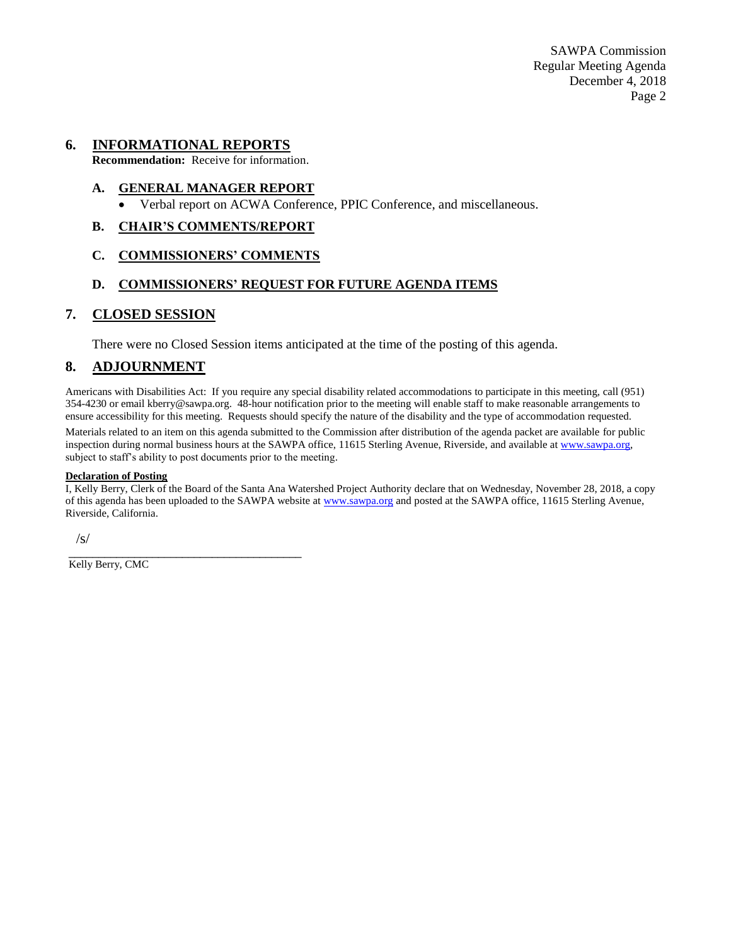SAWPA Commission Regular Meeting Agenda December 4, 2018 Page 2

### **6. INFORMATIONAL REPORTS**

**Recommendation:** Receive for information.

#### **A. GENERAL MANAGER REPORT**

• Verbal report on ACWA Conference, PPIC Conference, and miscellaneous.

#### **B. CHAIR'S COMMENTS/REPORT**

#### **C. COMMISSIONERS' COMMENTS**

### **D. COMMISSIONERS' REQUEST FOR FUTURE AGENDA ITEMS**

#### **7. CLOSED SESSION**

There were no Closed Session items anticipated at the time of the posting of this agenda.

### **8. ADJOURNMENT**

Americans with Disabilities Act: If you require any special disability related accommodations to participate in this meeting, call (951) 354-4230 or email kberry@sawpa.org. 48-hour notification prior to the meeting will enable staff to make reasonable arrangements to ensure accessibility for this meeting. Requests should specify the nature of the disability and the type of accommodation requested.

Materials related to an item on this agenda submitted to the Commission after distribution of the agenda packet are available for public inspection during normal business hours at the SAWPA office, 11615 Sterling Avenue, Riverside, and available a[t www.sawpa.org,](http://www.sawpa.org/) subject to staff's ability to post documents prior to the meeting.

#### **Declaration of Posting**

I, Kelly Berry, Clerk of the Board of the Santa Ana Watershed Project Authority declare that on Wednesday, November 28, 2018, a copy of this agenda has been uploaded to the SAWPA website at [www.sawpa.org](http://www.sawpa.org/) and posted at the SAWPA office, 11615 Sterling Avenue, Riverside, California.

/s/

Kelly Berry, CMC

\_\_\_\_\_\_\_\_\_\_\_\_\_\_\_\_\_\_\_\_\_\_\_\_\_\_\_\_\_\_\_\_\_\_\_\_\_\_\_